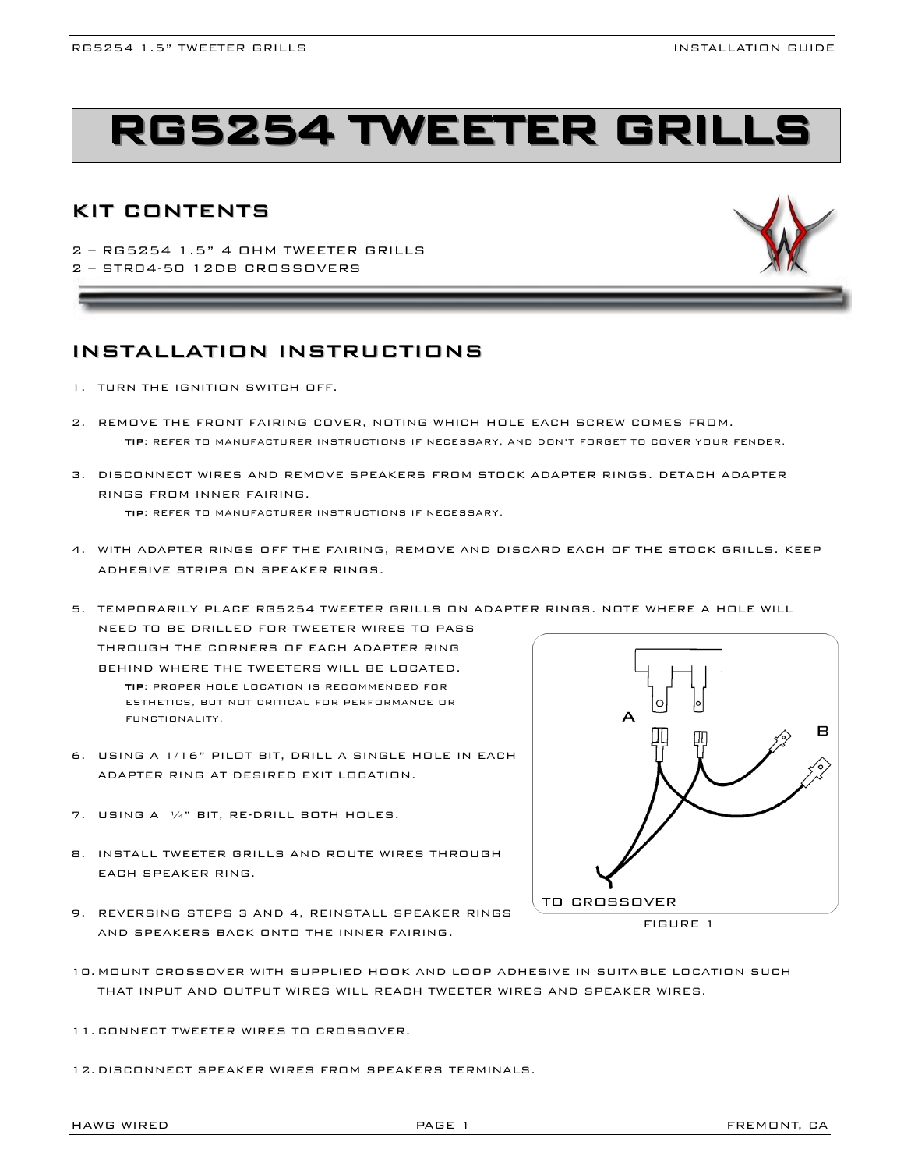# **RG5254 TWEETER GRILL**

# KIT CONTENTS

2 – RG5254 1.5" 4 OHM TWEETER GRILLS 2 – STR04-50 12DB CROSSOVERS

# INSTALLATION INSTRUCTIONS

- 1. TURN THE IGNITION SWITCH OFF.
- 2. REMOVE THE FRONT FAIRING COVER, NOTING WHICH HOLE EACH SCREW COMES FROM. TIP: REFER TO MANUFACTURER INSTRUCTIONS IF NECESSARY, AND DON'T FORGET TO COVER YOUR FENDER.
- 3. DISCONNECT WIRES AND REMOVE SPEAKERS FROM STOCK ADAPTER RINGS. DETACH ADAPTER RINGS FROM INNER FAIRING. TIP: REFER TO MANUFACTURER INSTRUCTIONS IF NECESSARY.
- 4. WITH ADAPTER RINGS OFF THE FAIRING, REMOVE AND DISCARD EACH OF THE STOCK GRILLS. KEEP

5. TEMPORARILY PLACE RG5254 TWEETER GRILLS ON ADAPTER RINGS. NOTE WHERE A HOLE WILL NEED TO BE DRILLED FOR TWEETER WIRES TO PASS THROUGH THE CORNERS OF EACH ADAPTER RING BEHIND WHERE THE TWEETERS WILL BE LOCATED. TIP: PROPER HOLE LOCATION IS RECOMMENDED FOR ESTHETICS, BUT NOT CRITICAL FOR PERFORMANCE OR  $\Delta$ FUNCTIONALITY.

- 6. USING A 1/16" PILOT BIT, DRILL A SINGLE HOLE IN EACH ADAPTER RING AT DESIRED EXIT LOCATION.
- 7. USING A ¼" BIT, RE-DRILL BOTH HOLES.

ADHESIVE STRIPS ON SPEAKER RINGS.

- 8. INSTALL TWEETER GRILLS AND ROUTE WIRES THROUGH EACH SPEAKER RING.
- 9. REVERSING STEPS 3 AND 4, REINSTALL SPEAKER RINGS AND SPEAKERS BACK ONTO THE INNER FAIRING.



- 10. MOUNT CROSSOVER WITH SUPPLIED HOOK AND LOOP ADHESIVE IN SUITABLE LOCATION SUCH THAT INPUT AND OUTPUT WIRES WILL REACH TWEETER WIRES AND SPEAKER WIRES.
- 11. CONNECT TWEETER WIRES TO CROSSOVER.
- 12. DISCONNECT SPEAKER WIRES FROM SPEAKERS TERMINALS.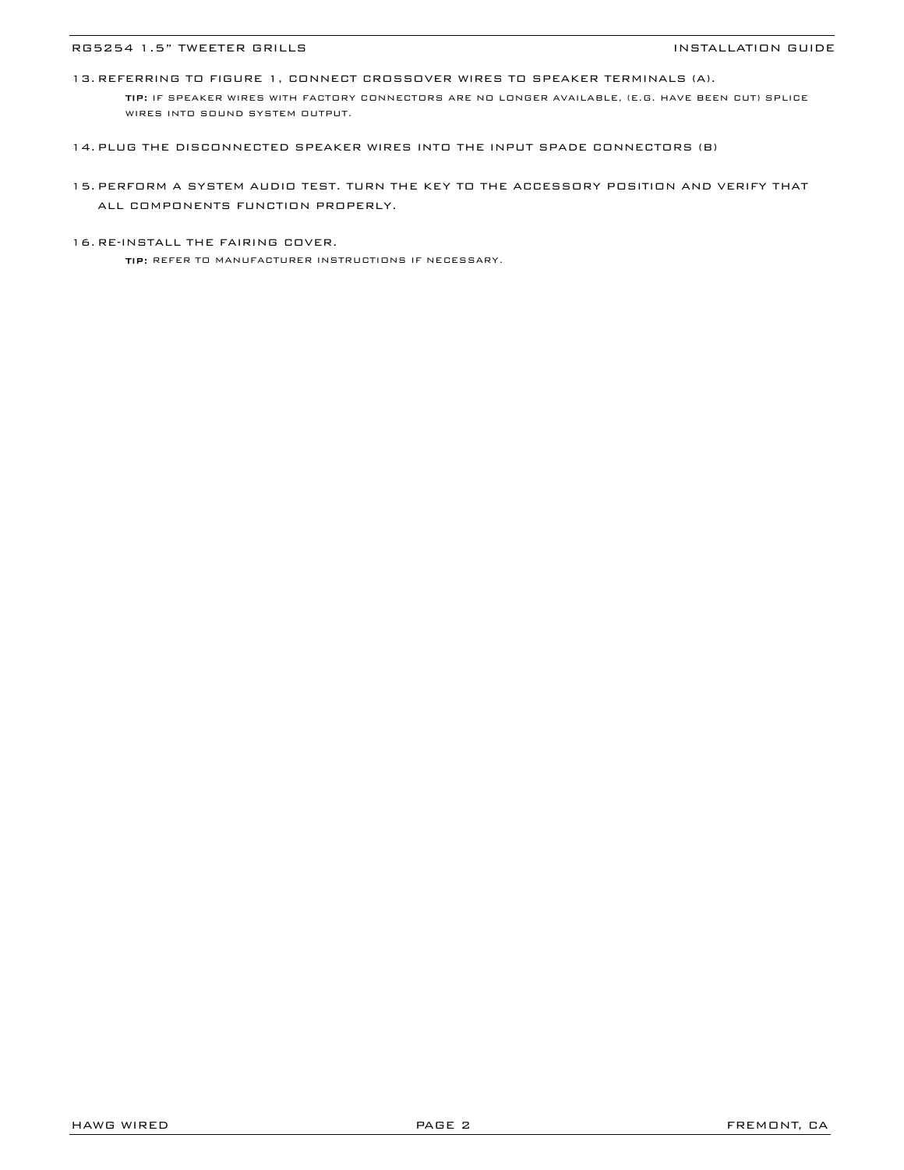#### RG5254 1.5" TWEETER GRILLS **Installation of the UNITAL ACCOM** INSTALLATION GUIDE

13. REFERRING TO FIGURE 1, CONNECT CROSSOVER WIRES TO SPEAKER TERMINALS (A). TIP: IF SPEAKER WIRES WITH FACTORY CONNECTORS ARE NO LONGER AVAILABLE, (E.G. HAVE BEEN CUT) SPLICE WIRES INTO SOUND SYSTEM OUTPUT.

- 14. PLUG THE DISCONNECTED SPEAKER WIRES INTO THE INPUT SPADE CONNECTORS (B)
- 15. PERFORM A SYSTEM AUDIO TEST. TURN THE KEY TO THE ACCESSORY POSITION AND VERIFY THAT ALL COMPONENTS FUNCTION PROPERLY.
- 16. RE-INSTALL THE FAIRING COVER.

TIP: REFER TO MANUFACTURER INSTRUCTIONS IF NECESSARY.